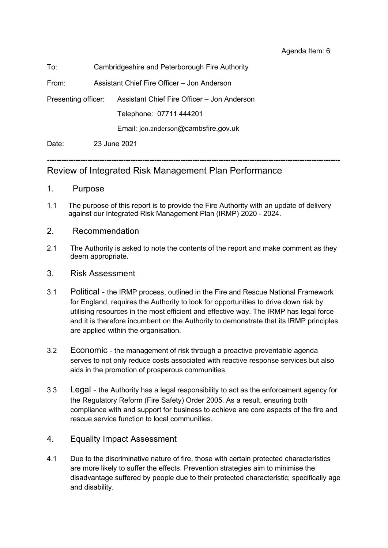Agenda Item: 6

### To: Cambridgeshire and Peterborough Fire Authority

From: Assistant Chief Fire Officer – Jon Anderson

Presenting officer: Assistant Chief Fire Officer – Jon Anderson

Telephone: 07711 444201

Email: [jon.anderson](mailto:jon.anderson@cambsfire.gov.uk)[@cambsfire.gov.uk](mailto:jon.anderson@cambsfire.gov.uk)

Date: 23 June 2021

### **---------------------------------------------------------------------------------------------------------------------------** Review of Integrated Risk Management Plan Performance

- 1. Purpose
- 1.1 The purpose of this report is to provide the Fire Authority with an update of delivery against our Integrated Risk Management Plan (IRMP) 2020 - 2024.
- 2. Recommendation
- 2.1 The Authority is asked to note the contents of the report and make comment as they deem appropriate.
- 3. Risk Assessment
- 3.1 Political the IRMP process, outlined in the Fire and Rescue National Framework for England, requires the Authority to look for opportunities to drive down risk by utilising resources in the most efficient and effective way. The IRMP has legal force and it is therefore incumbent on the Authority to demonstrate that its IRMP principles are applied within the organisation.
- 3.2 Economic the management of risk through a proactive preventable agenda serves to not only reduce costs associated with reactive response services but also aids in the promotion of prosperous communities.
- 3.3 Legal the Authority has a legal responsibility to act as the enforcement agency for the Regulatory Reform (Fire Safety) Order 2005. As a result, ensuring both compliance with and support for business to achieve are core aspects of the fire and rescue service function to local communities.

### 4. Equality Impact Assessment

4.1 Due to the discriminative nature of fire, those with certain protected characteristics are more likely to suffer the effects. Prevention strategies aim to minimise the disadvantage suffered by people due to their protected characteristic; specifically age and disability.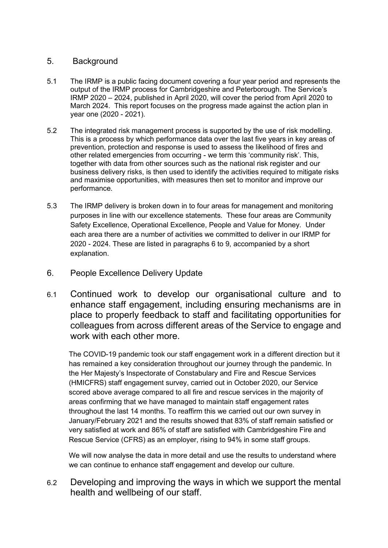### 5. Background

- 5.1 The IRMP is a public facing document covering a four year period and represents the output of the IRMP process for Cambridgeshire and Peterborough. The Service's IRMP 2020 – 2024, published in April 2020, will cover the period from April 2020 to March 2024. This report focuses on the progress made against the action plan in year one (2020 - 2021).
- 5.2 The integrated risk management process is supported by the use of risk modelling. This is a process by which performance data over the last five years in key areas of prevention, protection and response is used to assess the likelihood of fires and other related emergencies from occurring - we term this 'community risk'. This, together with data from other sources such as the national risk register and our business delivery risks, is then used to identify the activities required to mitigate risks and maximise opportunities, with measures then set to monitor and improve our performance.
- 5.3 The IRMP delivery is broken down in to four areas for management and monitoring purposes in line with our excellence statements. These four areas are Community Safety Excellence, Operational Excellence, People and Value for Money. Under each area there are a number of activities we committed to deliver in our IRMP for 2020 - 2024. These are listed in paragraphs 6 to 9, accompanied by a short explanation.
- 6. People Excellence Delivery Update
- 6.1 Continued work to develop our organisational culture and to enhance staff engagement, including ensuring mechanisms are in place to properly feedback to staff and facilitating opportunities for colleagues from across different areas of the Service to engage and work with each other more.

The COVID-19 pandemic took our staff engagement work in a different direction but it has remained a key consideration throughout our journey through the pandemic. In the Her Majesty's Inspectorate of Constabulary and Fire and Rescue Services (HMICFRS) staff engagement survey, carried out in October 2020, our Service scored above average compared to all fire and rescue services in the majority of areas confirming that we have managed to maintain staff engagement rates throughout the last 14 months. To reaffirm this we carried out our own survey in January/February 2021 and the results showed that 83% of staff remain satisfied or very satisfied at work and 86% of staff are satisfied with Cambridgeshire Fire and Rescue Service (CFRS) as an employer, rising to 94% in some staff groups.

We will now analyse the data in more detail and use the results to understand where we can continue to enhance staff engagement and develop our culture.

6.2 Developing and improving the ways in which we support the mental health and wellbeing of our staff.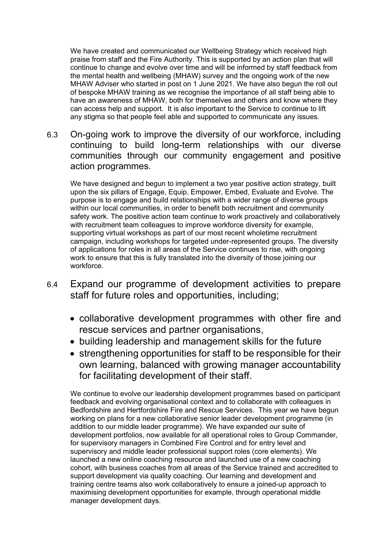We have created and communicated our Wellbeing Strategy which received high praise from staff and the Fire Authority. This is supported by an action plan that will continue to change and evolve over time and will be informed by staff feedback from the mental health and wellbeing (MHAW) survey and the ongoing work of the new MHAW Adviser who started in post on 1 June 2021. We have also begun the roll out of bespoke MHAW training as we recognise the importance of all staff being able to have an awareness of MHAW, both for themselves and others and know where they can access help and support. It is also important to the Service to continue to lift any stigma so that people feel able and supported to communicate any issues.

6.3 On-going work to improve the diversity of our workforce, including continuing to build long-term relationships with our diverse communities through our community engagement and positive action programmes.

We have designed and begun to implement a two year positive action strategy, built upon the six pillars of Engage, Equip, Empower, Embed, Evaluate and Evolve. The purpose is to engage and build relationships with a wider range of diverse groups within our local communities, in order to benefit both recruitment and community safety work. The positive action team continue to work proactively and collaboratively with recruitment team colleagues to improve workforce diversity for example, supporting virtual workshops as part of our most recent wholetime recruitment campaign, including workshops for targeted under-represented groups. The diversity of applications for roles in all areas of the Service continues to rise, with ongoing work to ensure that this is fully translated into the diversity of those joining our workforce.

- 6.4 Expand our programme of development activities to prepare staff for future roles and opportunities, including;
	- collaborative development programmes with other fire and rescue services and partner organisations,
	- building leadership and management skills for the future
	- strengthening opportunities for staff to be responsible for their own learning, balanced with growing manager accountability for facilitating development of their staff.

We continue to evolve our leadership development programmes based on participant feedback and evolving organisational context and to collaborate with colleagues in Bedfordshire and Hertfordshire Fire and Rescue Services. This year we have begun working on plans for a new collaborative senior leader development programme (in addition to our middle leader programme). We have expanded our suite of development portfolios, now available for all operational roles to Group Commander, for supervisory managers in Combined Fire Control and for entry level and supervisory and middle leader professional support roles (core elements). We launched a new online coaching resource and launched use of a new coaching cohort, with business coaches from all areas of the Service trained and accredited to support development via quality coaching. Our learning and development and training centre teams also work collaboratively to ensure a joined-up approach to maximising development opportunities for example, through operational middle manager development days.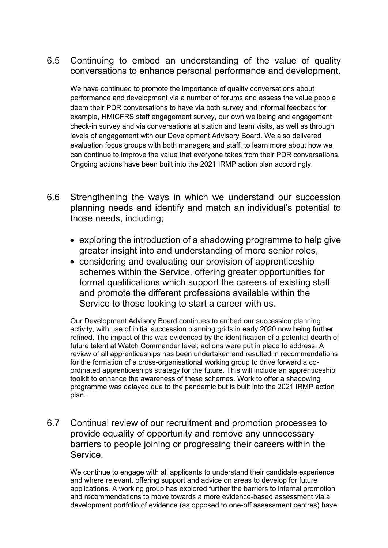## 6.5 Continuing to embed an understanding of the value of quality conversations to enhance personal performance and development.

We have continued to promote the importance of quality conversations about performance and development via a number of forums and assess the value people deem their PDR conversations to have via both survey and informal feedback for example, HMICFRS staff engagement survey, our own wellbeing and engagement check-in survey and via conversations at station and team visits, as well as through levels of engagement with our Development Advisory Board. We also delivered evaluation focus groups with both managers and staff, to learn more about how we can continue to improve the value that everyone takes from their PDR conversations. Ongoing actions have been built into the 2021 IRMP action plan accordingly.

- 6.6 Strengthening the ways in which we understand our succession planning needs and identify and match an individual's potential to those needs, including;
	- exploring the introduction of a shadowing programme to help give greater insight into and understanding of more senior roles,
	- considering and evaluating our provision of apprenticeship schemes within the Service, offering greater opportunities for formal qualifications which support the careers of existing staff and promote the different professions available within the Service to those looking to start a career with us.

 Our Development Advisory Board continues to embed our succession planning activity, with use of initial succession planning grids in early 2020 now being further refined. The impact of this was evidenced by the identification of a potential dearth of future talent at Watch Commander level; actions were put in place to address. A review of all apprenticeships has been undertaken and resulted in recommendations for the formation of a cross-organisational working group to drive forward a coordinated apprenticeships strategy for the future. This will include an apprenticeship toolkit to enhance the awareness of these schemes. Work to offer a shadowing programme was delayed due to the pandemic but is built into the 2021 IRMP action plan.

6.7 Continual review of our recruitment and promotion processes to provide equality of opportunity and remove any unnecessary barriers to people joining or progressing their careers within the Service.

We continue to engage with all applicants to understand their candidate experience and where relevant, offering support and advice on areas to develop for future applications. A working group has explored further the barriers to internal promotion and recommendations to move towards a more evidence-based assessment via a development portfolio of evidence (as opposed to one-off assessment centres) have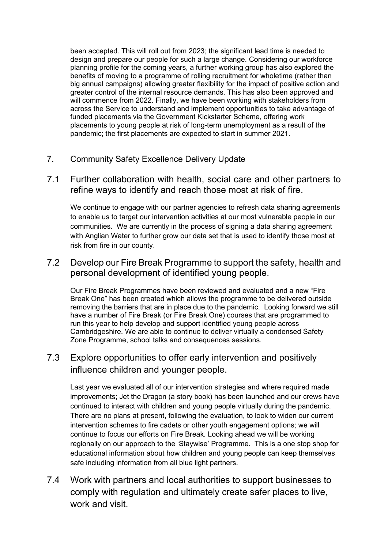been accepted. This will roll out from 2023; the significant lead time is needed to design and prepare our people for such a large change. Considering our workforce planning profile for the coming years, a further working group has also explored the benefits of moving to a programme of rolling recruitment for wholetime (rather than big annual campaigns) allowing greater flexibility for the impact of positive action and greater control of the internal resource demands. This has also been approved and will commence from 2022. Finally, we have been working with stakeholders from across the Service to understand and implement opportunities to take advantage of funded placements via the Government Kickstarter Scheme, offering work placements to young people at risk of long-term unemployment as a result of the pandemic; the first placements are expected to start in summer 2021.

- 7. Community Safety Excellence Delivery Update
- 7.1 Further collaboration with health, social care and other partners to refine ways to identify and reach those most at risk of fire.

We continue to engage with our partner agencies to refresh data sharing agreements to enable us to target our intervention activities at our most vulnerable people in our communities. We are currently in the process of signing a data sharing agreement with Anglian Water to further grow our data set that is used to identify those most at risk from fire in our county.

### 7.2 Develop our Fire Break Programme to support the safety, health and personal development of identified young people.

Our Fire Break Programmes have been reviewed and evaluated and a new "Fire Break One" has been created which allows the programme to be delivered outside removing the barriers that are in place due to the pandemic. Looking forward we still have a number of Fire Break (or Fire Break One) courses that are programmed to run this year to help develop and support identified young people across Cambridgeshire. We are able to continue to deliver virtually a condensed Safety Zone Programme, school talks and consequences sessions.

## 7.3 Explore opportunities to offer early intervention and positively influence children and younger people.

Last year we evaluated all of our intervention strategies and where required made improvements; Jet the Dragon (a story book) has been launched and our crews have continued to interact with children and young people virtually during the pandemic. There are no plans at present, following the evaluation, to look to widen our current intervention schemes to fire cadets or other youth engagement options; we will continue to focus our efforts on Fire Break. Looking ahead we will be working regionally on our approach to the 'Staywise' Programme. This is a one stop shop for educational information about how children and young people can keep themselves safe including information from all blue light partners.

7.4 Work with partners and local authorities to support businesses to comply with regulation and ultimately create safer places to live, work and visit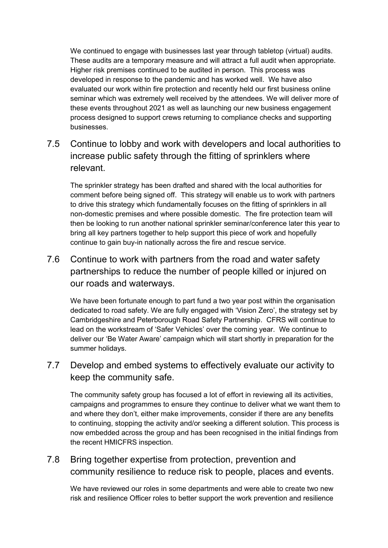We continued to engage with businesses last year through tabletop (virtual) audits. These audits are a temporary measure and will attract a full audit when appropriate. Higher risk premises continued to be audited in person. This process was developed in response to the pandemic and has worked well. We have also evaluated our work within fire protection and recently held our first business online seminar which was extremely well received by the attendees. We will deliver more of these events throughout 2021 as well as launching our new business engagement process designed to support crews returning to compliance checks and supporting businesses.

# 7.5 Continue to lobby and work with developers and local authorities to increase public safety through the fitting of sprinklers where relevant.

The sprinkler strategy has been drafted and shared with the local authorities for comment before being signed off. This strategy will enable us to work with partners to drive this strategy which fundamentally focuses on the fitting of sprinklers in all non-domestic premises and where possible domestic. The fire protection team will then be looking to run another national sprinkler seminar/conference later this year to bring all key partners together to help support this piece of work and hopefully continue to gain buy-in nationally across the fire and rescue service.

# 7.6 Continue to work with partners from the road and water safety partnerships to reduce the number of people killed or injured on our roads and waterways.

We have been fortunate enough to part fund a two year post within the organisation dedicated to road safety. We are fully engaged with 'Vision Zero', the strategy set by Cambridgeshire and Peterborough Road Safety Partnership. CFRS will continue to lead on the workstream of 'Safer Vehicles' over the coming year. We continue to deliver our 'Be Water Aware' campaign which will start shortly in preparation for the summer holidays.

## 7.7 Develop and embed systems to effectively evaluate our activity to keep the community safe.

The community safety group has focused a lot of effort in reviewing all its activities, campaigns and programmes to ensure they continue to deliver what we want them to and where they don't, either make improvements, consider if there are any benefits to continuing, stopping the activity and/or seeking a different solution. This process is now embedded across the group and has been recognised in the initial findings from the recent HMICFRS inspection.

# 7.8 Bring together expertise from protection, prevention and community resilience to reduce risk to people, places and events.

We have reviewed our roles in some departments and were able to create two new risk and resilience Officer roles to better support the work prevention and resilience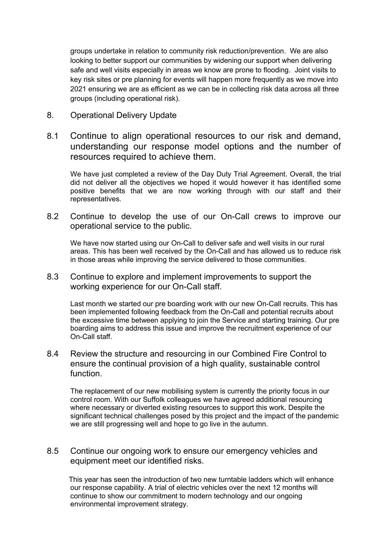groups undertake in relation to community risk reduction/prevention. We are also looking to better support our communities by widening our support when delivering safe and well visits especially in areas we know are prone to flooding. Joint visits to key risk sites or pre planning for events will happen more frequently as we move into 2021 ensuring we are as efficient as we can be in collecting risk data across all three groups (including operational risk).

- 8. Operational Delivery Update
- 8.1 Continue to align operational resources to our risk and demand, understanding our response model options and the number of resources required to achieve them.

We have just completed a review of the Day Duty Trial Agreement. Overall, the trial did not deliver all the objectives we hoped it would however it has identified some positive benefits that we are now working through with our staff and their representatives.

8.2 Continue to develop the use of our On-Call crews to improve our operational service to the public.

We have now started using our On-Call to deliver safe and well visits in our rural areas. This has been well received by the On-Call and has allowed us to reduce risk in those areas while improving the service delivered to those communities.

8.3 Continue to explore and implement improvements to support the working experience for our On-Call staff.

Last month we started our pre boarding work with our new On-Call recruits. This has been implemented following feedback from the On-Call and potential recruits about the excessive time between applying to join the Service and starting training. Our pre boarding aims to address this issue and improve the recruitment experience of our On-Call staff.

8.4 Review the structure and resourcing in our Combined Fire Control to ensure the continual provision of a high quality, sustainable control function.

The replacement of our new mobilising system is currently the priority focus in our control room. With our Suffolk colleagues we have agreed additional resourcing where necessary or diverted existing resources to support this work. Despite the significant technical challenges posed by this project and the impact of the pandemic we are still progressing well and hope to go live in the autumn.

8.5 Continue our ongoing work to ensure our emergency vehicles and equipment meet our identified risks.

This year has seen the introduction of two new turntable ladders which will enhance our response capability. A trial of electric vehicles over the next 12 months will continue to show our commitment to modern technology and our ongoing environmental improvement strategy.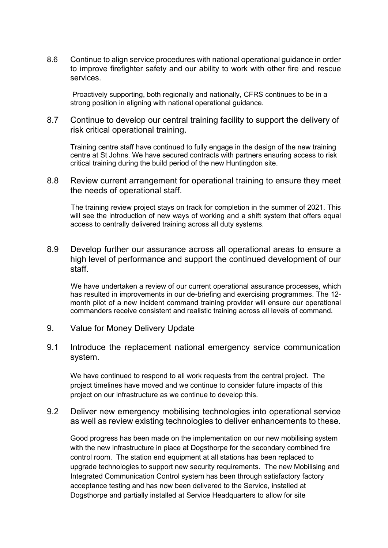8.6 Continue to align service procedures with national operational guidance in order to improve firefighter safety and our ability to work with other fire and rescue services.

Proactively supporting, both regionally and nationally, CFRS continues to be in a strong position in aligning with national operational guidance.

8.7 Continue to develop our central training facility to support the delivery of risk critical operational training.

Training centre staff have continued to fully engage in the design of the new training centre at St Johns. We have secured contracts with partners ensuring access to risk critical training during the build period of the new Huntingdon site.

8.8 Review current arrangement for operational training to ensure they meet the needs of operational staff.

 The training review project stays on track for completion in the summer of 2021. This will see the introduction of new ways of working and a shift system that offers equal access to centrally delivered training across all duty systems.

8.9 Develop further our assurance across all operational areas to ensure a high level of performance and support the continued development of our staff.

 We have undertaken a review of our current operational assurance processes, which has resulted in improvements in our de-briefing and exercising programmes. The 12 month pilot of a new incident command training provider will ensure our operational commanders receive consistent and realistic training across all levels of command.

- 9. Value for Money Delivery Update
- 9.1 Introduce the replacement national emergency service communication system.

We have continued to respond to all work requests from the central project. The project timelines have moved and we continue to consider future impacts of this project on our infrastructure as we continue to develop this.

9.2 Deliver new emergency mobilising technologies into operational service as well as review existing technologies to deliver enhancements to these.

Good progress has been made on the implementation on our new mobilising system with the new infrastructure in place at Dogsthorpe for the secondary combined fire control room. The station end equipment at all stations has been replaced to upgrade technologies to support new security requirements. The new Mobilising and Integrated Communication Control system has been through satisfactory factory acceptance testing and has now been delivered to the Service, installed at Dogsthorpe and partially installed at Service Headquarters to allow for site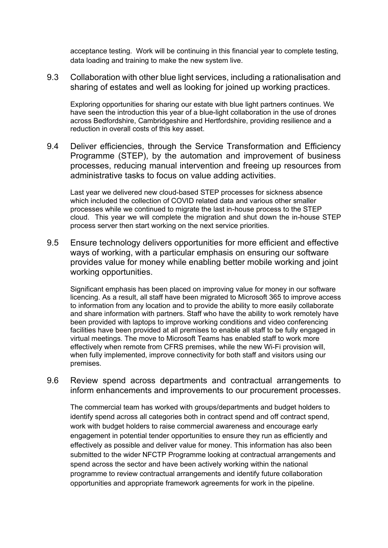acceptance testing. Work will be continuing in this financial year to complete testing, data loading and training to make the new system live.

9.3 Collaboration with other blue light services, including a rationalisation and sharing of estates and well as looking for joined up working practices.

Exploring opportunities for sharing our estate with blue light partners continues. We have seen the introduction this year of a blue-light collaboration in the use of drones across Bedfordshire, Cambridgeshire and Hertfordshire, providing resilience and a reduction in overall costs of this key asset.

9.4 Deliver efficiencies, through the Service Transformation and Efficiency Programme (STEP), by the automation and improvement of business processes, reducing manual intervention and freeing up resources from administrative tasks to focus on value adding activities.

Last year we delivered new cloud-based STEP processes for sickness absence which included the collection of COVID related data and various other smaller processes while we continued to migrate the last in-house process to the STEP cloud. This year we will complete the migration and shut down the in-house STEP process server then start working on the next service priorities.

9.5 Ensure technology delivers opportunities for more efficient and effective ways of working, with a particular emphasis on ensuring our software provides value for money while enabling better mobile working and joint working opportunities.

Significant emphasis has been placed on improving value for money in our software licencing. As a result, all staff have been migrated to Microsoft 365 to improve access to information from any location and to provide the ability to more easily collaborate and share information with partners. Staff who have the ability to work remotely have been provided with laptops to improve working conditions and video conferencing facilities have been provided at all premises to enable all staff to be fully engaged in virtual meetings. The move to Microsoft Teams has enabled staff to work more effectively when remote from CFRS premises, while the new Wi-Fi provision will, when fully implemented, improve connectivity for both staff and visitors using our premises.

9.6 Review spend across departments and contractual arrangements to inform enhancements and improvements to our procurement processes.

The commercial team has worked with groups/departments and budget holders to identify spend across all categories both in contract spend and off contract spend, work with budget holders to raise commercial awareness and encourage early engagement in potential tender opportunities to ensure they run as efficiently and effectively as possible and deliver value for money. This information has also been submitted to the wider NFCTP Programme looking at contractual arrangements and spend across the sector and have been actively working within the national programme to review contractual arrangements and identify future collaboration opportunities and appropriate framework agreements for work in the pipeline.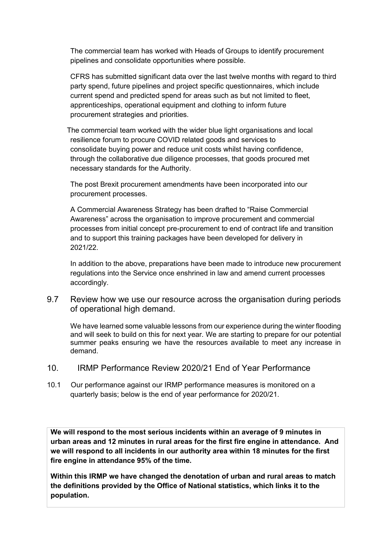The commercial team has worked with Heads of Groups to identify procurement pipelines and consolidate opportunities where possible.

CFRS has submitted significant data over the last twelve months with regard to third party spend, future pipelines and project specific questionnaires, which include current spend and predicted spend for areas such as but not limited to fleet, apprenticeships, operational equipment and clothing to inform future procurement strategies and priorities.

 The commercial team worked with the wider blue light organisations and local resilience forum to procure COVID related goods and services to consolidate buying power and reduce unit costs whilst having confidence, through the collaborative due diligence processes, that goods procured met necessary standards for the Authority.

The post Brexit procurement amendments have been incorporated into our procurement processes.

A Commercial Awareness Strategy has been drafted to "Raise Commercial Awareness" across the organisation to improve procurement and commercial processes from initial concept pre-procurement to end of contract life and transition and to support this training packages have been developed for delivery in 2021/22.

In addition to the above, preparations have been made to introduce new procurement regulations into the Service once enshrined in law and amend current processes accordingly.

9.7 Review how we use our resource across the organisation during periods of operational high demand.

We have learned some valuable lessons from our experience during the winter flooding and will seek to build on this for next year. We are starting to prepare for our potential summer peaks ensuring we have the resources available to meet any increase in demand.

- 10. IRMP Performance Review 2020/21 End of Year Performance
- 10.1 Our performance against our IRMP performance measures is monitored on a quarterly basis; below is the end of year performance for 2020/21.

**We will respond to the most serious incidents within an average of 9 minutes in urban areas and 12 minutes in rural areas for the first fire engine in attendance. And we will respond to all incidents in our authority area within 18 minutes for the first fire engine in attendance 95% of the time.**

**Within this IRMP we have changed the denotation of urban and rural areas to match the definitions provided by the Office of National statistics, which links it to the population.**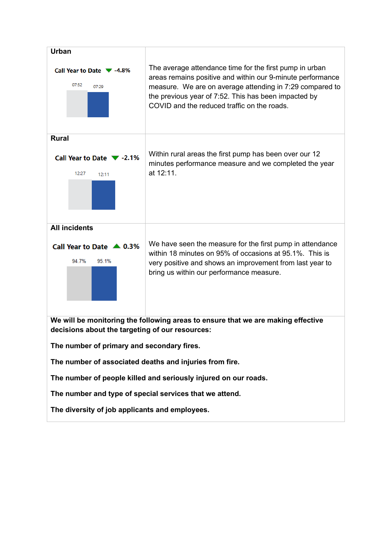

**The diversity of job applicants and employees.**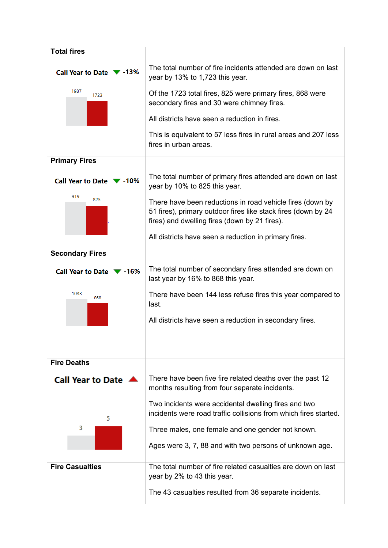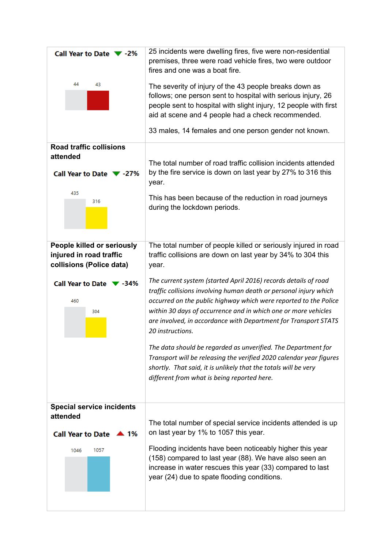| Call Year to Date ▼ -2%                                                           | 25 incidents were dwelling fires, five were non-residential<br>premises, three were road vehicle fires, two were outdoor<br>fires and one was a boat fire.                                                                                                                                                                                                        |
|-----------------------------------------------------------------------------------|-------------------------------------------------------------------------------------------------------------------------------------------------------------------------------------------------------------------------------------------------------------------------------------------------------------------------------------------------------------------|
| 44<br>43                                                                          | The severity of injury of the 43 people breaks down as<br>follows; one person sent to hospital with serious injury, 26<br>people sent to hospital with slight injury, 12 people with first<br>aid at scene and 4 people had a check recommended.                                                                                                                  |
|                                                                                   | 33 males, 14 females and one person gender not known.                                                                                                                                                                                                                                                                                                             |
| <b>Road traffic collisions</b><br>attended<br>Call Year to Date ▼ -27%            | The total number of road traffic collision incidents attended<br>by the fire service is down on last year by 27% to 316 this                                                                                                                                                                                                                                      |
| 435<br>316                                                                        | year.<br>This has been because of the reduction in road journeys<br>during the lockdown periods.                                                                                                                                                                                                                                                                  |
| People killed or seriously<br>injured in road traffic<br>collisions (Police data) | The total number of people killed or seriously injured in road<br>traffic collisions are down on last year by 34% to 304 this<br>year.                                                                                                                                                                                                                            |
| Call Year to Date $\blacktriangledown$ -34%<br>460<br>304                         | The current system (started April 2016) records details of road<br>traffic collisions involving human death or personal injury which<br>occurred on the public highway which were reported to the Police<br>within 30 days of occurrence and in which one or more vehicles<br>are involved, in accordance with Department for Transport STATS<br>20 instructions. |
|                                                                                   | The data should be regarded as unverified. The Department for<br>Transport will be releasing the verified 2020 calendar year figures<br>shortly. That said, it is unlikely that the totals will be very<br>different from what is being reported here.                                                                                                            |
| <b>Special service incidents</b><br>attended<br>Call Year to Date ▲ 1%            | The total number of special service incidents attended is up<br>on last year by 1% to 1057 this year.                                                                                                                                                                                                                                                             |
| 1057<br>1046                                                                      | Flooding incidents have been noticeably higher this year<br>(158) compared to last year (88). We have also seen an<br>increase in water rescues this year (33) compared to last<br>year (24) due to spate flooding conditions.                                                                                                                                    |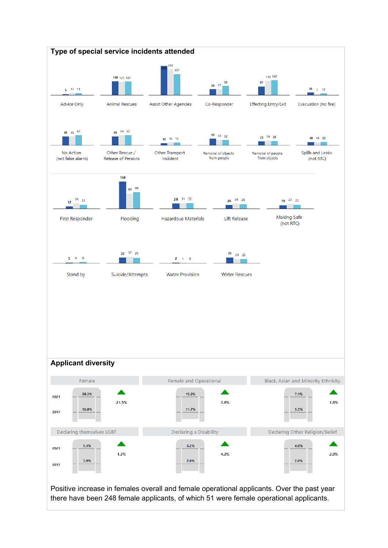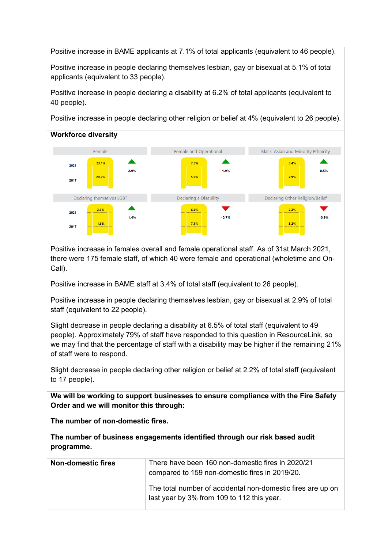Positive increase in BAME applicants at 7.1% of total applicants (equivalent to 46 people).

Positive increase in people declaring themselves lesbian, gay or bisexual at 5.1% of total applicants (equivalent to 33 people).

Positive increase in people declaring a disability at 6.2% of total applicants (equivalent to 40 people).

Positive increase in people declaring other religion or belief at 4% (equivalent to 26 people).



Positive increase in females overall and female operational staff. As of 31st March 2021, there were 175 female staff, of which 40 were female and operational (wholetime and On-Call).

Positive increase in BAME staff at 3.4% of total staff (equivalent to 26 people).

Positive increase in people declaring themselves lesbian, gay or bisexual at 2.9% of total staff (equivalent to 22 people).

Slight decrease in people declaring a disability at 6.5% of total staff (equivalent to 49 people). Approximately 79% of staff have responded to this question in ResourceLink, so we may find that the percentage of staff with a disability may be higher if the remaining 21% of staff were to respond.

Slight decrease in people declaring other religion or belief at 2.2% of total staff (equivalent to 17 people).

**We will be working to support businesses to ensure compliance with the Fire Safety Order and we will monitor this through:**

**The number of non-domestic fires.**

| The number of business engagements identified through our risk based audit |  |
|----------------------------------------------------------------------------|--|
| programme.                                                                 |  |

| <b>Non-domestic fires</b> | There have been 160 non-domestic fires in 2020/21<br>compared to 159 non-domestic fires in 2019/20.       |
|---------------------------|-----------------------------------------------------------------------------------------------------------|
|                           | The total number of accidental non-domestic fires are up on<br>last year by 3% from 109 to 112 this year. |